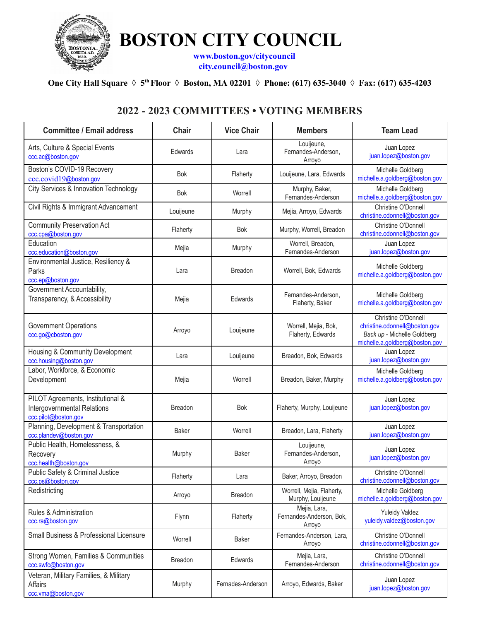

**BOSTON CITY COUNCIL**

**[www.boston.gov/citycouncil](http://www.boston.gov/citycouncil%20%20%20) [city.council@boston.gov](mailto:city.council@boston.gov)**

## One City Hall Square  $\Diamond 5^{th}$  Floor  $\Diamond 5^{th}$  Boston, MA 02201  $\Diamond 7^{th}$  Phone: (617) 635-3040  $\Diamond 5^{th}$  Fax: (617) 635-4203

## **2022 - 2023 COMMITTEES • VOTING MEMBERS**

| <b>Committee / Email address</b>                                                         | <b>Chair</b>   | <b>Vice Chair</b> | <b>Members</b>                                     | <b>Team Lead</b>                                                                                                      |
|------------------------------------------------------------------------------------------|----------------|-------------------|----------------------------------------------------|-----------------------------------------------------------------------------------------------------------------------|
| Arts, Culture & Special Events<br>ccc.ac@boston.gov                                      | Edwards        | Lara              | Louijeune,<br>Fernandes-Anderson,<br>Arroyo        | Juan Lopez<br>juan.lopez@boston.gov                                                                                   |
| Boston's COVID-19 Recovery<br>ccc.covid19@boston.gov                                     | <b>Bok</b>     | Flaherty          | Louijeune, Lara, Edwards                           | Michelle Goldberg<br>michelle.a.goldberg@boston.gov                                                                   |
| City Services & Innovation Technology                                                    | <b>Bok</b>     | Worrell           | Murphy, Baker,<br>Fernandes-Anderson               | Michelle Goldberg<br>michelle.a.goldberg@boston.gov                                                                   |
| Civil Rights & Immigrant Advancement                                                     | Louijeune      | Murphy            | Mejia, Arroyo, Edwards                             | Christine O'Donnell<br>christine.odonnell@boston.gov                                                                  |
| <b>Community Preservation Act</b><br>ccc.cpa@boston.gov                                  | Flaherty       | <b>Bok</b>        | Murphy, Worrell, Breadon                           | Christine O'Donnell<br>christine.odonnell@boston.gov                                                                  |
| Education<br>ccc.education@boston.gov                                                    | Mejia          | Murphy            | Worrell, Breadon,<br>Fernandes-Anderson            | Juan Lopez<br>juan.lopez@boston.gov                                                                                   |
| Environmental Justice, Resiliency &<br>Parks<br>ccc.ep@boston.gov                        | Lara           | <b>Breadon</b>    | Worrell, Bok, Edwards                              | Michelle Goldberg<br>michelle.a.goldberg@boston.gov                                                                   |
| Government Accountability,<br>Transparency, & Accessibility                              | Mejia          | Edwards           | Fernandes-Anderson,<br>Flaherty, Baker             | Michelle Goldberg<br>michelle.a.goldberg@boston.gov                                                                   |
| <b>Government Operations</b><br>ccc.go@cboston.gov                                       | Arroyo         | Louijeune         | Worrell, Mejia, Bok,<br>Flaherty, Edwards          | Christine O'Donnell<br>christine.odonnell@boston.gov<br>Back up - Michelle Goldberg<br>michelle.a.goldberg@boston.gov |
| Housing & Community Development<br>ccc.housing@boston.gov                                | Lara           | Louijeune         | Breadon, Bok, Edwards                              | Juan Lopez<br>juan.lopez@boston.gov                                                                                   |
| Labor, Workforce, & Economic<br>Development                                              | Mejia          | Worrell           | Breadon, Baker, Murphy                             | Michelle Goldberg<br>michelle.a.goldberg@boston.gov                                                                   |
| PILOT Agreements, Institutional &<br>Intergovernmental Relations<br>ccc.pilot@boston.gov | <b>Breadon</b> | <b>Bok</b>        | Flaherty, Murphy, Louijeune                        | Juan Lopez<br>juan.lopez@boston.gov                                                                                   |
| Planning, Development & Transportation<br>ccc.plandev@boston.gov                         | Baker          | Worrell           | Breadon, Lara, Flaherty                            | Juan Lopez<br>juan.lopez@boston.gov                                                                                   |
| Public Health, Homelessness, &<br>Recovery<br>ccc.health@boston.gov                      | Murphy         | Baker             | Louijeune,<br>Fernandes-Anderson,<br>Arroyo        | Juan Lopez<br>juan.lopez@boston.gov                                                                                   |
| Public Safety & Criminal Justice<br>ccc.ps@boston.gov                                    | Flaherty       | Lara              | Baker, Arroyo, Breadon                             | Christine O'Donnell<br>christine.odonnell@boston.gov                                                                  |
| Redistricting                                                                            | Arroyo         | <b>Breadon</b>    | Worrell, Mejia, Flaherty,<br>Murphy, Louijeune     | Michelle Goldberg<br>michelle.a.goldberg@boston.gov                                                                   |
| <b>Rules &amp; Administration</b><br>ccc.ra@boston.gov                                   | Flynn          | Flaherty          | Mejia, Lara,<br>Fernandes-Anderson, Bok,<br>Arroyo | <b>Yuleidy Valdez</b><br>yuleidy.valdez@boston.gov                                                                    |
| Small Business & Professional Licensure                                                  | Worrell        | Baker             | Fernandes-Anderson, Lara,<br>Arroyo                | Christine O'Donnell<br>christine.odonnell@boston.gov                                                                  |
| Strong Women, Families & Communities<br>ccc.swfc@boston.gov                              | <b>Breadon</b> | Edwards           | Mejia, Lara,<br>Fernandes-Anderson                 | Christine O'Donnell<br>christine.odonnell@boston.gov                                                                  |
| Veteran, Military Families, & Military<br>Affairs<br>ccc.vma@boston.gov                  | Murphy         | Fernades-Anderson | Arroyo, Edwards, Baker                             | Juan Lopez<br>juan.lopez@boston.gov                                                                                   |